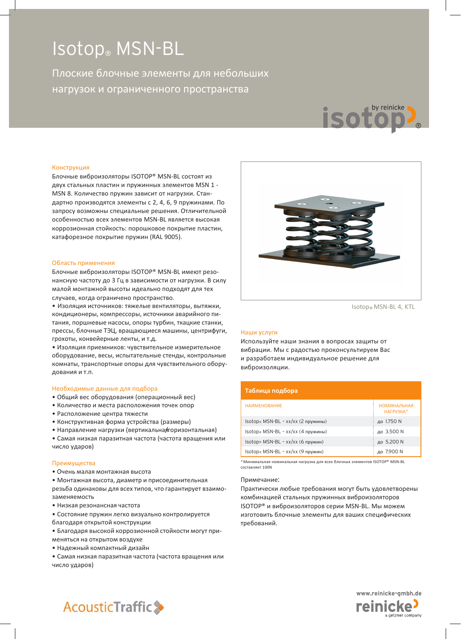# Isotop® MSN-BL

Плоские блочные элементы для небольших нагрузок и ограниченного пространства



Блочные виброизоляторы ISOTOP® MSN-BL состоят из двух стальных пластин и пружинных элементов MSN 1 - MSN 8. Количество пружин зависит от нагрузки. Стандартно производятся элементы с 2, 4, 6, 9 пружинами. По запросу возможны специальные решения. Отличительной особенностью всех элементов MSN-BL является высокая коррозионная стойкость: порошковое покрытие пластин, катафорезное покрытие пружин (RAL 9005).

#### Область применения

Блочные виброизоляторы ISOTOP® MSN-BL имеют резонансную частоту до 3 Гц в зависимости от нагрузки. В силу малой монтажной высоты идеально подходят для тех случаев, когда ограничено пространство.

• Изоляция источников: тяжелые вентиляторы, вытяжки, кондиционеры, компрессоры, источники аварийного питания, поршневые насосы, опоры турбин, ткацкие станки, прессы, блочные ТЭЦ, вращающиеся машины, центрифуги, грохоты, конвейерные ленты, и т.д.

• Изоляция приемников: чувствительное измерительное оборудование, весы, испытательные стенды, контрольные комнаты, транспортные опоры для чувствительного оборудования и т.п.

#### Необходимые данные для подбора

- Общий вес оборудования (операционный вес)
- Количество и места расположения точек опор
- Расположение центра тяжести
- Конструктивная форма устройства (размеры)
- Направление нагрузки (вертикальнаяторизонтальная)

• Самая низкая паразитная частота (частота вращения или число ударов)

### Преимущества

• Очень малая монтажная высота

• Монтажная высота, диаметр и присоединительная резьба одинаковы для всех типов, что гарантирует взаимозаменяемость

• Низкая резонансная частота

• Состояние пружин легко визуально контролируется благодаря открытой конструкции

• Благодаря высокой коррозионной стойкости могут применяться на открытом воздухе

• Надежный компактный дизайн

• Самая низкая паразитная частота (частота вращения или число ударов)



Isotop® MSN-BL 4, KTL

by reinicke

### Наши услуги

Используйте наши знания в вопросах защиты от вибрации. Мы с радостью проконсультируем Вас и разработаем индивидуальное решение для виброизоляции.

### **Таблица подбора**

| <b>НАИМЕНОВАНИЕ</b>                | <b>НОМИНАЛЬНАЯ</b><br>НАГРУЗКА* |
|------------------------------------|---------------------------------|
| Isotop® MSN-BL - xx/xx (2 пружины) | до 1.750 N                      |
| Isotop® MSN-BL - xx/xx (4 пружины) | до 3.500 N                      |
| Isotop® MSN-BL - xx/xx (6 пружин)  | до 5.200 N                      |
| Isotop® MSN-BL - xx/xx (9 пружин)  | до 7.900 N                      |

\*Минимальная номинальная нагрузка для всех блочных элементов ISOTOP® MSN-BL составляет 100N

### Примечание:

Практически любые требования могут быть удовлетворены комбинацией стальных пружинных виброизоляторов ISOTOP® и виброизоляторов серии MSN-BL. Мы можем изготовить блочные элементы для ваших специфических требований.



# **AcousticTraffic**